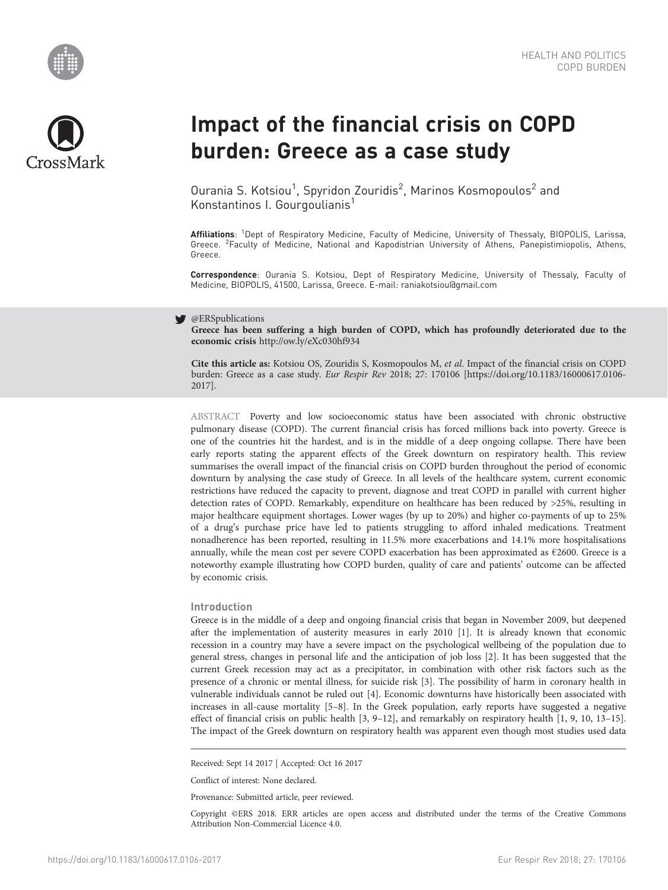



# Impact of the financial crisis on COPD burden: Greece as a case study

Ourania S. Kotsiou<sup>1</sup>, Spyridon Zouridis<sup>2</sup>, Marinos Kosmopoulos<sup>2</sup> and Konstantinos I. Gourgoulianis<sup>1</sup>

Affiliations: <sup>1</sup>Dept of Respiratory Medicine, Faculty of Medicine, University of Thessaly, BIOPOLIS, Larissa, Greece. <sup>2</sup> Faculty of Medicine, National and Kapodistrian University of Athens, Panepistimiopolis, Athens, Greece.

Correspondence: Ourania S. Kotsiou, Dept of Respiratory Medicine, University of Thessaly, Faculty of Medicine, BIOPOLIS, 41500, Larissa, Greece. E-mail: [raniakotsiou@gmail.com](mailto:raniakotsiou@gmail.com)

#### y @ERSpublications

Greece has been suffering a high burden of COPD, which has profoundly deteriorated due to the economic crisis <http://ow.ly/eXc030hf934>

Cite this article as: Kotsiou OS, Zouridis S, Kosmopoulos M, et al. Impact of the financial crisis on COPD burden: Greece as a case study. Eur Respir Rev 2018; 27: 170106 [\[https://doi.org/10.1183/16000617.0106-](https://doi.org/10.1183/16000617.0106-2017) [2017\].](https://doi.org/10.1183/16000617.0106-2017)

ABSTRACT Poverty and low socioeconomic status have been associated with chronic obstructive pulmonary disease (COPD). The current financial crisis has forced millions back into poverty. Greece is one of the countries hit the hardest, and is in the middle of a deep ongoing collapse. There have been early reports stating the apparent effects of the Greek downturn on respiratory health. This review summarises the overall impact of the financial crisis on COPD burden throughout the period of economic downturn by analysing the case study of Greece. In all levels of the healthcare system, current economic restrictions have reduced the capacity to prevent, diagnose and treat COPD in parallel with current higher detection rates of COPD. Remarkably, expenditure on healthcare has been reduced by >25%, resulting in major healthcare equipment shortages. Lower wages (by up to 20%) and higher co-payments of up to 25% of a drug's purchase price have led to patients struggling to afford inhaled medications. Treatment nonadherence has been reported, resulting in 11.5% more exacerbations and 14.1% more hospitalisations annually, while the mean cost per severe COPD exacerbation has been approximated as €2600. Greece is a noteworthy example illustrating how COPD burden, quality of care and patients' outcome can be affected by economic crisis.

# Introduction

Greece is in the middle of a deep and ongoing financial crisis that began in November 2009, but deepened after the implementation of austerity measures in early 2010 [\[1\]](#page-6-0). It is already known that economic recession in a country may have a severe impact on the psychological wellbeing of the population due to general stress, changes in personal life and the anticipation of job loss [[2\]](#page-6-0). It has been suggested that the current Greek recession may act as a precipitator, in combination with other risk factors such as the presence of a chronic or mental illness, for suicide risk [[3\]](#page-6-0). The possibility of harm in coronary health in vulnerable individuals cannot be ruled out [\[4\]](#page-6-0). Economic downturns have historically been associated with increases in all-cause mortality [[5](#page-6-0)–[8\]](#page-7-0). In the Greek population, early reports have suggested a negative effect of financial crisis on public health [\[3](#page-6-0), [9](#page-7-0)–[12\]](#page-7-0), and remarkably on respiratory health [[1,](#page-6-0) [9](#page-7-0), [10, 13](#page-7-0)–[15](#page-7-0)]. The impact of the Greek downturn on respiratory health was apparent even though most studies used data

Received: Sept 14 2017 | Accepted: Oct 16 2017

Conflict of interest: None declared.

Provenance: Submitted article, peer reviewed.

Copyright ©ERS 2018. ERR articles are open access and distributed under the terms of the Creative Commons Attribution Non-Commercial Licence 4.0.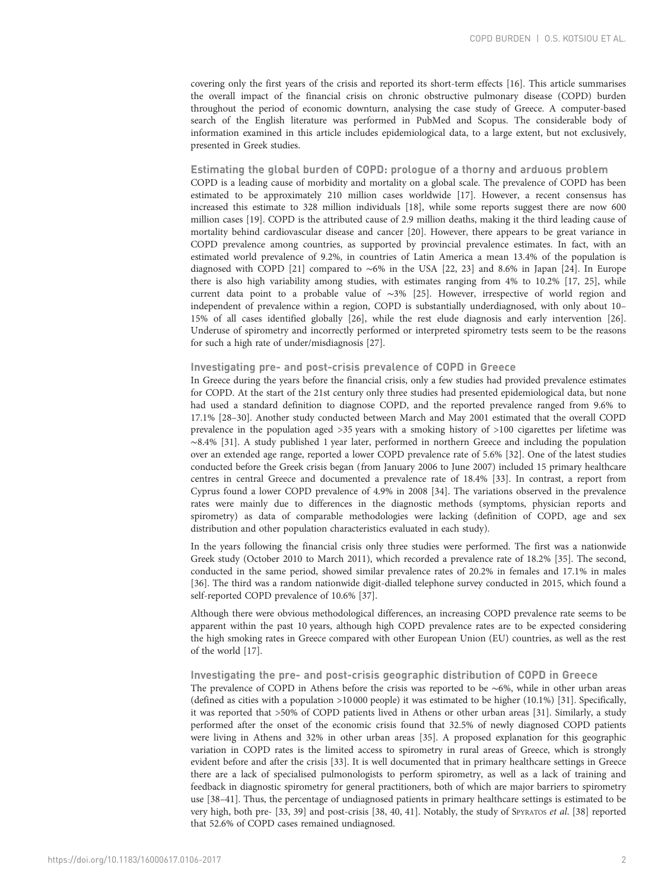covering only the first years of the crisis and reported its short-term effects [[16](#page-7-0)]. This article summarises the overall impact of the financial crisis on chronic obstructive pulmonary disease (COPD) burden throughout the period of economic downturn, analysing the case study of Greece. A computer-based search of the English literature was performed in PubMed and Scopus. The considerable body of information examined in this article includes epidemiological data, to a large extent, but not exclusively, presented in Greek studies.

# Estimating the global burden of COPD: prologue of a thorny and arduous problem

COPD is a leading cause of morbidity and mortality on a global scale. The prevalence of COPD has been estimated to be approximately 210 million cases worldwide [[17](#page-7-0)]. However, a recent consensus has increased this estimate to 328 million individuals [\[18](#page-7-0)], while some reports suggest there are now 600 million cases [[19](#page-7-0)]. COPD is the attributed cause of 2.9 million deaths, making it the third leading cause of mortality behind cardiovascular disease and cancer [\[20](#page-7-0)]. However, there appears to be great variance in COPD prevalence among countries, as supported by provincial prevalence estimates. In fact, with an estimated world prevalence of 9.2%, in countries of Latin America a mean 13.4% of the population is diagnosed with COPD [[21](#page-7-0)] compared to ∼6% in the USA [\[22, 23](#page-7-0)] and 8.6% in Japan [[24](#page-7-0)]. In Europe there is also high variability among studies, with estimates ranging from 4% to 10.2% [\[17](#page-7-0), [25\]](#page-7-0), while current data point to a probable value of ∼3% [\[25\]](#page-7-0). However, irrespective of world region and independent of prevalence within a region, COPD is substantially underdiagnosed, with only about 10– 15% of all cases identified globally [[26](#page-7-0)], while the rest elude diagnosis and early intervention [[26](#page-7-0)]. Underuse of spirometry and incorrectly performed or interpreted spirometry tests seem to be the reasons for such a high rate of under/misdiagnosis [[27](#page-7-0)].

# Investigating pre- and post-crisis prevalence of COPD in Greece

In Greece during the years before the financial crisis, only a few studies had provided prevalence estimates for COPD. At the start of the 21st century only three studies had presented epidemiological data, but none had used a standard definition to diagnose COPD, and the reported prevalence ranged from 9.6% to 17.1% [[28](#page-7-0)–[30\]](#page-7-0). Another study conducted between March and May 2001 estimated that the overall COPD prevalence in the population aged >35 years with a smoking history of >100 cigarettes per lifetime was ∼8.4% [\[31\]](#page-7-0). A study published 1 year later, performed in northern Greece and including the population over an extended age range, reported a lower COPD prevalence rate of 5.6% [[32\]](#page-7-0). One of the latest studies conducted before the Greek crisis began (from January 2006 to June 2007) included 15 primary healthcare centres in central Greece and documented a prevalence rate of 18.4% [\[33\]](#page-7-0). In contrast, a report from Cyprus found a lower COPD prevalence of 4.9% in 2008 [[34](#page-7-0)]. The variations observed in the prevalence rates were mainly due to differences in the diagnostic methods (symptoms, physician reports and spirometry) as data of comparable methodologies were lacking (definition of COPD, age and sex distribution and other population characteristics evaluated in each study).

In the years following the financial crisis only three studies were performed. The first was a nationwide Greek study (October 2010 to March 2011), which recorded a prevalence rate of 18.2% [[35](#page-7-0)]. The second, conducted in the same period, showed similar prevalence rates of 20.2% in females and 17.1% in males [\[36\]](#page-7-0). The third was a random nationwide digit-dialled telephone survey conducted in 2015, which found a self-reported COPD prevalence of 10.6% [[37](#page-7-0)].

Although there were obvious methodological differences, an increasing COPD prevalence rate seems to be apparent within the past 10 years, although high COPD prevalence rates are to be expected considering the high smoking rates in Greece compared with other European Union (EU) countries, as well as the rest of the world [\[17\]](#page-7-0).

# Investigating the pre- and post-crisis geographic distribution of COPD in Greece

The prevalence of COPD in Athens before the crisis was reported to be ∼6%, while in other urban areas (defined as cities with a population >10 000 people) it was estimated to be higher (10.1%) [\[31\]](#page-7-0). Specifically, it was reported that >50% of COPD patients lived in Athens or other urban areas [\[31\]](#page-7-0). Similarly, a study performed after the onset of the economic crisis found that 32.5% of newly diagnosed COPD patients were living in Athens and 32% in other urban areas [\[35\]](#page-7-0). A proposed explanation for this geographic variation in COPD rates is the limited access to spirometry in rural areas of Greece, which is strongly evident before and after the crisis [[33](#page-7-0)]. It is well documented that in primary healthcare settings in Greece there are a lack of specialised pulmonologists to perform spirometry, as well as a lack of training and feedback in diagnostic spirometry for general practitioners, both of which are major barriers to spirometry use [[38](#page-7-0)–[41](#page-7-0)]. Thus, the percentage of undiagnosed patients in primary healthcare settings is estimated to be very high, both pre- [\[33, 39](#page-7-0)] and post-crisis [[38](#page-7-0), [40, 41\]](#page-7-0). Notably, the study of SPYRATOS et al. [[38](#page-7-0)] reported that 52.6% of COPD cases remained undiagnosed.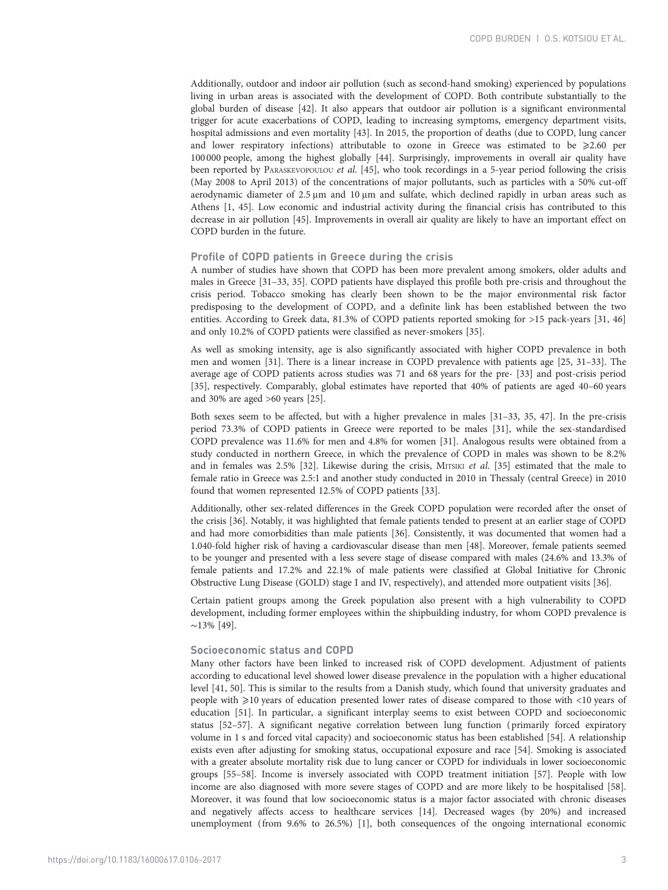Additionally, outdoor and indoor air pollution (such as second-hand smoking) experienced by populations living in urban areas is associated with the development of COPD. Both contribute substantially to the global burden of disease [[42\]](#page-7-0). It also appears that outdoor air pollution is a significant environmental trigger for acute exacerbations of COPD, leading to increasing symptoms, emergency department visits, hospital admissions and even mortality [\[43\]](#page-8-0). In 2015, the proportion of deaths (due to COPD, lung cancer and lower respiratory infections) attributable to ozone in Greece was estimated to be  $\geqslant 2.60$  per 100 000 people, among the highest globally [\[44\]](#page-8-0). Surprisingly, improvements in overall air quality have been reported by PARASKEVOPOULOU et al. [[45](#page-8-0)], who took recordings in a 5-year period following the crisis (May 2008 to April 2013) of the concentrations of major pollutants, such as particles with a 50% cut-off aerodynamic diameter of 2.5 μm and 10 μm and sulfate, which declined rapidly in urban areas such as Athens [[1,](#page-6-0) [45](#page-8-0)]. Low economic and industrial activity during the financial crisis has contributed to this decrease in air pollution [\[45\]](#page-8-0). Improvements in overall air quality are likely to have an important effect on COPD burden in the future.

# Profile of COPD patients in Greece during the crisis

A number of studies have shown that COPD has been more prevalent among smokers, older adults and males in Greece [[31](#page-7-0)–[33, 35](#page-7-0)]. COPD patients have displayed this profile both pre-crisis and throughout the crisis period. Tobacco smoking has clearly been shown to be the major environmental risk factor predisposing to the development of COPD, and a definite link has been established between the two entities. According to Greek data, 81.3% of COPD patients reported smoking for >15 pack-years [[31,](#page-7-0) [46](#page-8-0)] and only 10.2% of COPD patients were classified as never-smokers [[35](#page-7-0)].

As well as smoking intensity, age is also significantly associated with higher COPD prevalence in both men and women [\[31\]](#page-7-0). There is a linear increase in COPD prevalence with patients age [\[25, 31](#page-7-0)–[33\]](#page-7-0). The average age of COPD patients across studies was 71 and 68 years for the pre- [[33](#page-7-0)] and post-crisis period [\[35\]](#page-7-0), respectively. Comparably, global estimates have reported that 40% of patients are aged 40–60 years and 30% are aged >60 years [[25](#page-7-0)].

Both sexes seem to be affected, but with a higher prevalence in males [[31](#page-7-0)–[33, 35,](#page-7-0) [47](#page-8-0)]. In the pre-crisis period 73.3% of COPD patients in Greece were reported to be males [\[31\]](#page-7-0), while the sex-standardised COPD prevalence was 11.6% for men and 4.8% for women [\[31\]](#page-7-0). Analogous results were obtained from a study conducted in northern Greece, in which the prevalence of COPD in males was shown to be 8.2% and in females was 2.5% [\[32](#page-7-0)]. Likewise during the crisis, MITSIKI et al. [[35](#page-7-0)] estimated that the male to female ratio in Greece was 2.5:1 and another study conducted in 2010 in Thessaly (central Greece) in 2010 found that women represented 12.5% of COPD patients [[33](#page-7-0)].

Additionally, other sex-related differences in the Greek COPD population were recorded after the onset of the crisis [\[36\]](#page-7-0). Notably, it was highlighted that female patients tended to present at an earlier stage of COPD and had more comorbidities than male patients [\[36\]](#page-7-0). Consistently, it was documented that women had a 1.040-fold higher risk of having a cardiovascular disease than men [[48](#page-8-0)]. Moreover, female patients seemed to be younger and presented with a less severe stage of disease compared with males (24.6% and 13.3% of female patients and 17.2% and 22.1% of male patients were classified at Global Initiative for Chronic Obstructive Lung Disease (GOLD) stage I and IV, respectively), and attended more outpatient visits [\[36](#page-7-0)].

Certain patient groups among the Greek population also present with a high vulnerability to COPD development, including former employees within the shipbuilding industry, for whom COPD prevalence is ∼13% [\[49\]](#page-8-0).

# Socioeconomic status and COPD

Many other factors have been linked to increased risk of COPD development. Adjustment of patients according to educational level showed lower disease prevalence in the population with a higher educational level [[41](#page-7-0), [50\]](#page-8-0). This is similar to the results from a Danish study, which found that university graduates and people with ≥10 years of education presented lower rates of disease compared to those with <10 years of education [\[51](#page-8-0)]. In particular, a significant interplay seems to exist between COPD and socioeconomic status [\[52](#page-8-0)–[57](#page-8-0)]. A significant negative correlation between lung function ( primarily forced expiratory volume in 1 s and forced vital capacity) and socioeconomic status has been established [[54](#page-8-0)]. A relationship exists even after adjusting for smoking status, occupational exposure and race [[54](#page-8-0)]. Smoking is associated with a greater absolute mortality risk due to lung cancer or COPD for individuals in lower socioeconomic groups [[55](#page-8-0)–[58\]](#page-8-0). Income is inversely associated with COPD treatment initiation [\[57\]](#page-8-0). People with low income are also diagnosed with more severe stages of COPD and are more likely to be hospitalised [[58](#page-8-0)]. Moreover, it was found that low socioeconomic status is a major factor associated with chronic diseases and negatively affects access to healthcare services [[14](#page-7-0)]. Decreased wages (by 20%) and increased unemployment (from 9.6% to 26.5%) [\[1\]](#page-6-0), both consequences of the ongoing international economic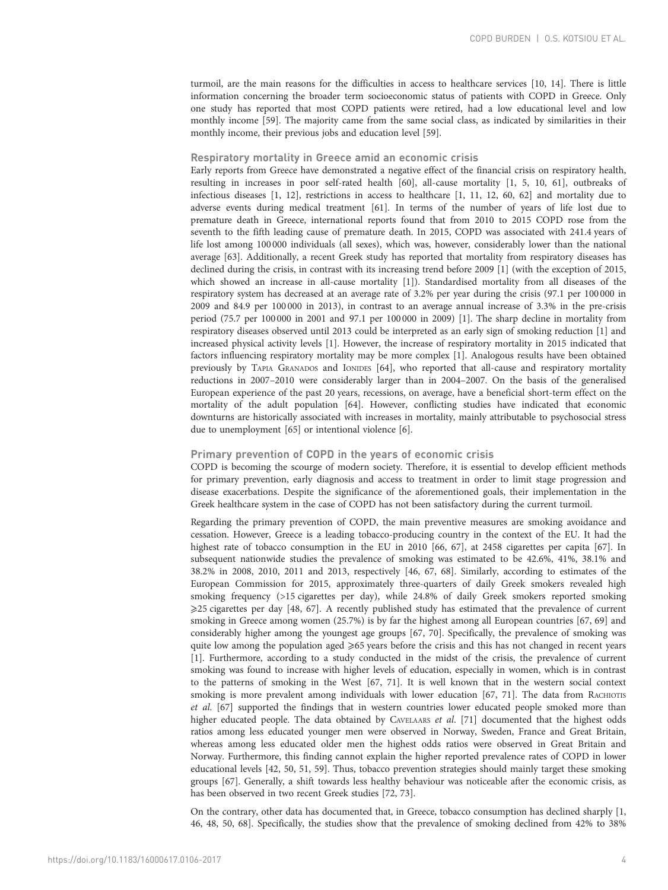turmoil, are the main reasons for the difficulties in access to healthcare services [[10](#page-7-0), [14\]](#page-7-0). There is little information concerning the broader term socioeconomic status of patients with COPD in Greece. Only one study has reported that most COPD patients were retired, had a low educational level and low monthly income [[59\]](#page-8-0). The majority came from the same social class, as indicated by similarities in their monthly income, their previous jobs and education level [\[59\]](#page-8-0).

# Respiratory mortality in Greece amid an economic crisis

Early reports from Greece have demonstrated a negative effect of the financial crisis on respiratory health, resulting in increases in poor self-rated health [\[60\]](#page-8-0), all-cause mortality [\[1, 5](#page-6-0), [10,](#page-7-0) [61](#page-8-0)], outbreaks of infectious diseases [[1,](#page-6-0) [12\]](#page-7-0), restrictions in access to healthcare [[1,](#page-6-0) [11, 12](#page-7-0), [60](#page-8-0), [62\]](#page-8-0) and mortality due to adverse events during medical treatment [\[61\]](#page-8-0). In terms of the number of years of life lost due to premature death in Greece, international reports found that from 2010 to 2015 COPD rose from the seventh to the fifth leading cause of premature death. In 2015, COPD was associated with 241.4 years of life lost among 100000 individuals (all sexes), which was, however, considerably lower than the national average [[63](#page-8-0)]. Additionally, a recent Greek study has reported that mortality from respiratory diseases has declined during the crisis, in contrast with its increasing trend before 2009 [\[1\]](#page-6-0) (with the exception of 2015, which showed an increase in all-cause mortality [\[1\]](#page-6-0)). Standardised mortality from all diseases of the respiratory system has decreased at an average rate of 3.2% per year during the crisis (97.1 per 100 000 in 2009 and 84.9 per 100 000 in 2013), in contrast to an average annual increase of 3.3% in the pre-crisis period (75.7 per 100 000 in 2001 and 97.1 per 100000 in 2009) [\[1](#page-6-0)]. The sharp decline in mortality from respiratory diseases observed until 2013 could be interpreted as an early sign of smoking reduction [[1](#page-6-0)] and increased physical activity levels [\[1\]](#page-6-0). However, the increase of respiratory mortality in 2015 indicated that factors influencing respiratory mortality may be more complex [\[1\]](#page-6-0). Analogous results have been obtained previously by TAPIA GRANADOS and IONIDES [[64](#page-8-0)], who reported that all-cause and respiratory mortality reductions in 2007–2010 were considerably larger than in 2004–2007. On the basis of the generalised European experience of the past 20 years, recessions, on average, have a beneficial short-term effect on the mortality of the adult population [\[64](#page-8-0)]. However, conflicting studies have indicated that economic downturns are historically associated with increases in mortality, mainly attributable to psychosocial stress due to unemployment [[65](#page-8-0)] or intentional violence [[6](#page-6-0)].

# Primary prevention of COPD in the years of economic crisis

COPD is becoming the scourge of modern society. Therefore, it is essential to develop efficient methods for primary prevention, early diagnosis and access to treatment in order to limit stage progression and disease exacerbations. Despite the significance of the aforementioned goals, their implementation in the Greek healthcare system in the case of COPD has not been satisfactory during the current turmoil.

Regarding the primary prevention of COPD, the main preventive measures are smoking avoidance and cessation. However, Greece is a leading tobacco-producing country in the context of the EU. It had the highest rate of tobacco consumption in the EU in 2010 [[66, 67](#page-8-0)], at 2458 cigarettes per capita [[67\]](#page-8-0). In subsequent nationwide studies the prevalence of smoking was estimated to be 42.6%, 41%, 38.1% and 38.2% in 2008, 2010, 2011 and 2013, respectively [\[46, 67](#page-8-0), [68\]](#page-8-0). Similarly, according to estimates of the European Commission for 2015, approximately three-quarters of daily Greek smokers revealed high smoking frequency (>15 cigarettes per day), while 24.8% of daily Greek smokers reported smoking ⩾25 cigarettes per day [[48](#page-8-0), [67\]](#page-8-0). A recently published study has estimated that the prevalence of current smoking in Greece among women (25.7%) is by far the highest among all European countries [\[67, 69](#page-8-0)] and considerably higher among the youngest age groups [\[67](#page-8-0), [70](#page-8-0)]. Specifically, the prevalence of smoking was quite low among the population aged  $\geq 65$  years before the crisis and this has not changed in recent years [\[1\]](#page-6-0). Furthermore, according to a study conducted in the midst of the crisis, the prevalence of current smoking was found to increase with higher levels of education, especially in women, which is in contrast to the patterns of smoking in the West [\[67, 71\]](#page-8-0). It is well known that in the western social context smoking is more prevalent among individuals with lower education [\[67, 71](#page-8-0)]. The data from RACHIOTIS et al. [\[67](#page-8-0)] supported the findings that in western countries lower educated people smoked more than higher educated people. The data obtained by CAVELAARS et al. [[71](#page-8-0)] documented that the highest odds ratios among less educated younger men were observed in Norway, Sweden, France and Great Britain, whereas among less educated older men the highest odds ratios were observed in Great Britain and Norway. Furthermore, this finding cannot explain the higher reported prevalence rates of COPD in lower educational levels [[42](#page-7-0), [50, 51](#page-8-0), [59\]](#page-8-0). Thus, tobacco prevention strategies should mainly target these smoking groups [[67](#page-8-0)]. Generally, a shift towards less healthy behaviour was noticeable after the economic crisis, as has been observed in two recent Greek studies [[72](#page-8-0), [73](#page-8-0)].

On the contrary, other data has documented that, in Greece, tobacco consumption has declined sharply [\[1](#page-6-0), [46, 48, 50, 68](#page-8-0)]. Specifically, the studies show that the prevalence of smoking declined from 42% to 38%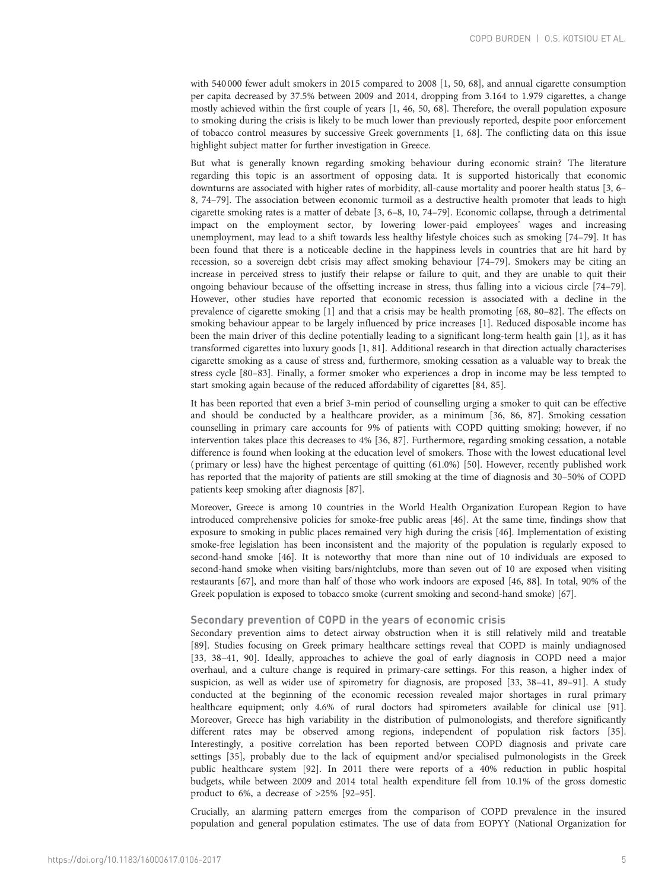with 540 000 fewer adult smokers in 2015 compared to 2008 [\[1,](#page-6-0) [50](#page-8-0), [68\]](#page-8-0), and annual cigarette consumption per capita decreased by 37.5% between 2009 and 2014, dropping from 3.164 to 1.979 cigarettes, a change mostly achieved within the first couple of years [[1](#page-6-0), [46, 50, 68](#page-8-0)]. Therefore, the overall population exposure to smoking during the crisis is likely to be much lower than previously reported, despite poor enforcement of tobacco control measures by successive Greek governments [[1,](#page-6-0) [68](#page-8-0)]. The conflicting data on this issue highlight subject matter for further investigation in Greece.

But what is generally known regarding smoking behaviour during economic strain? The literature regarding this topic is an assortment of opposing data. It is supported historically that economic downturns are associated with higher rates of morbidity, all-cause mortality and poorer health status [[3, 6](#page-6-0)– [8](#page-7-0), [74](#page-8-0)–[79\]](#page-9-0). The association between economic turmoil as a destructive health promoter that leads to high cigarette smoking rates is a matter of debate [\[3, 6](#page-6-0)–[8, 10](#page-7-0), [74](#page-8-0)–[79\]](#page-9-0). Economic collapse, through a detrimental impact on the employment sector, by lowering lower-paid employees' wages and increasing unemployment, may lead to a shift towards less healthy lifestyle choices such as smoking [\[74](#page-8-0)–[79](#page-9-0)]. It has been found that there is a noticeable decline in the happiness levels in countries that are hit hard by recession, so a sovereign debt crisis may affect smoking behaviour [\[74](#page-8-0)–[79](#page-9-0)]. Smokers may be citing an increase in perceived stress to justify their relapse or failure to quit, and they are unable to quit their ongoing behaviour because of the offsetting increase in stress, thus falling into a vicious circle [[74](#page-8-0)–[79](#page-9-0)]. However, other studies have reported that economic recession is associated with a decline in the prevalence of cigarette smoking [\[1\]](#page-6-0) and that a crisis may be health promoting [[68](#page-8-0), [80](#page-9-0)–[82](#page-9-0)]. The effects on smoking behaviour appear to be largely influenced by price increases [\[1](#page-6-0)]. Reduced disposable income has been the main driver of this decline potentially leading to a significant long-term health gain [\[1](#page-6-0)], as it has transformed cigarettes into luxury goods [[1](#page-6-0), [81](#page-9-0)]. Additional research in that direction actually characterises cigarette smoking as a cause of stress and, furthermore, smoking cessation as a valuable way to break the stress cycle [[80](#page-9-0)–[83\]](#page-9-0). Finally, a former smoker who experiences a drop in income may be less tempted to start smoking again because of the reduced affordability of cigarettes [\[84, 85](#page-9-0)].

It has been reported that even a brief 3-min period of counselling urging a smoker to quit can be effective and should be conducted by a healthcare provider, as a minimum [[36](#page-7-0), [86, 87](#page-9-0)]. Smoking cessation counselling in primary care accounts for 9% of patients with COPD quitting smoking; however, if no intervention takes place this decreases to 4% [\[36,](#page-7-0) [87](#page-9-0)]. Furthermore, regarding smoking cessation, a notable difference is found when looking at the education level of smokers. Those with the lowest educational level ( primary or less) have the highest percentage of quitting (61.0%) [[50](#page-8-0)]. However, recently published work has reported that the majority of patients are still smoking at the time of diagnosis and 30–50% of COPD patients keep smoking after diagnosis [\[87](#page-9-0)].

Moreover, Greece is among 10 countries in the World Health Organization European Region to have introduced comprehensive policies for smoke-free public areas [\[46\]](#page-8-0). At the same time, findings show that exposure to smoking in public places remained very high during the crisis [[46](#page-8-0)]. Implementation of existing smoke-free legislation has been inconsistent and the majority of the population is regularly exposed to second-hand smoke [\[46\]](#page-8-0). It is noteworthy that more than nine out of 10 individuals are exposed to second-hand smoke when visiting bars/nightclubs, more than seven out of 10 are exposed when visiting restaurants [\[67\]](#page-8-0), and more than half of those who work indoors are exposed [\[46,](#page-8-0) [88](#page-9-0)]. In total, 90% of the Greek population is exposed to tobacco smoke (current smoking and second-hand smoke) [\[67](#page-8-0)].

# Secondary prevention of COPD in the years of economic crisis

Secondary prevention aims to detect airway obstruction when it is still relatively mild and treatable [\[89\]](#page-9-0). Studies focusing on Greek primary healthcare settings reveal that COPD is mainly undiagnosed [\[33, 38](#page-7-0)–[41,](#page-7-0) [90](#page-9-0)]. Ideally, approaches to achieve the goal of early diagnosis in COPD need a major overhaul, and a culture change is required in primary-care settings. For this reason, a higher index of suspicion, as well as wider use of spirometry for diagnosis, are proposed [\[33, 38](#page-7-0)–[41,](#page-7-0) [89](#page-9-0)–[91\]](#page-9-0). A study conducted at the beginning of the economic recession revealed major shortages in rural primary healthcare equipment; only 4.6% of rural doctors had spirometers available for clinical use [[91](#page-9-0)]. Moreover, Greece has high variability in the distribution of pulmonologists, and therefore significantly different rates may be observed among regions, independent of population risk factors [[35](#page-7-0)]. Interestingly, a positive correlation has been reported between COPD diagnosis and private care settings [[35](#page-7-0)], probably due to the lack of equipment and/or specialised pulmonologists in the Greek public healthcare system [\[92\]](#page-9-0). In 2011 there were reports of a 40% reduction in public hospital budgets, while between 2009 and 2014 total health expenditure fell from 10.1% of the gross domestic product to 6%, a decrease of >25% [[92](#page-9-0)–[95\]](#page-9-0).

Crucially, an alarming pattern emerges from the comparison of COPD prevalence in the insured population and general population estimates. The use of data from EOPYY (National Organization for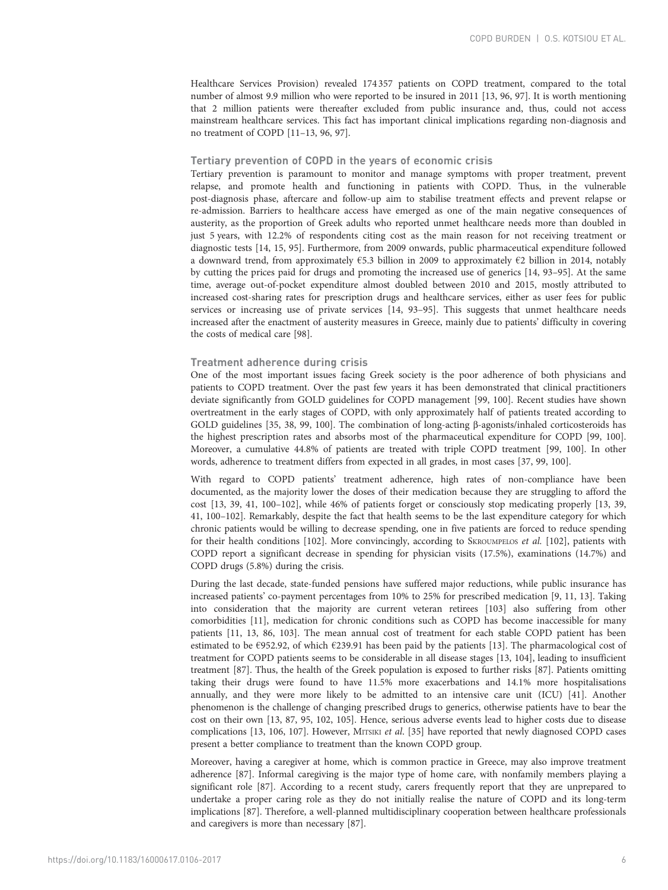Healthcare Services Provision) revealed 174 357 patients on COPD treatment, compared to the total number of almost 9.9 million who were reported to be insured in 2011 [[13](#page-7-0), [96, 97](#page-9-0)]. It is worth mentioning that 2 million patients were thereafter excluded from public insurance and, thus, could not access mainstream healthcare services. This fact has important clinical implications regarding non-diagnosis and no treatment of COPD [\[11](#page-7-0)–[13,](#page-7-0) [96](#page-9-0), [97\]](#page-9-0).

# Tertiary prevention of COPD in the years of economic crisis

Tertiary prevention is paramount to monitor and manage symptoms with proper treatment, prevent relapse, and promote health and functioning in patients with COPD. Thus, in the vulnerable post-diagnosis phase, aftercare and follow-up aim to stabilise treatment effects and prevent relapse or re-admission. Barriers to healthcare access have emerged as one of the main negative consequences of austerity, as the proportion of Greek adults who reported unmet healthcare needs more than doubled in just 5 years, with 12.2% of respondents citing cost as the main reason for not receiving treatment or diagnostic tests [[14](#page-7-0), [15,](#page-7-0) [95](#page-9-0)]. Furthermore, from 2009 onwards, public pharmaceutical expenditure followed a downward trend, from approximately  $\epsilon$ 5.3 billion in 2009 to approximately  $\epsilon$ 2 billion in 2014, notably by cutting the prices paid for drugs and promoting the increased use of generics [[14](#page-7-0), [93](#page-9-0)–[95](#page-9-0)]. At the same time, average out-of-pocket expenditure almost doubled between 2010 and 2015, mostly attributed to increased cost-sharing rates for prescription drugs and healthcare services, either as user fees for public services or increasing use of private services [[14](#page-7-0), [93](#page-9-0)-[95\]](#page-9-0). This suggests that unmet healthcare needs increased after the enactment of austerity measures in Greece, mainly due to patients' difficulty in covering the costs of medical care [[98](#page-9-0)].

## Treatment adherence during crisis

One of the most important issues facing Greek society is the poor adherence of both physicians and patients to COPD treatment. Over the past few years it has been demonstrated that clinical practitioners deviate significantly from GOLD guidelines for COPD management [\[99, 100\]](#page-9-0). Recent studies have shown overtreatment in the early stages of COPD, with only approximately half of patients treated according to GOLD guidelines [[35](#page-7-0), [38](#page-7-0), [99, 100](#page-9-0)]. The combination of long-acting β-agonists/inhaled corticosteroids has the highest prescription rates and absorbs most of the pharmaceutical expenditure for COPD [\[99, 100](#page-9-0)]. Moreover, a cumulative 44.8% of patients are treated with triple COPD treatment [\[99, 100\]](#page-9-0). In other words, adherence to treatment differs from expected in all grades, in most cases [[37](#page-7-0), [99, 100](#page-9-0)].

With regard to COPD patients' treatment adherence, high rates of non-compliance have been documented, as the majority lower the doses of their medication because they are struggling to afford the cost [\[13, 39, 41,](#page-7-0) [100](#page-9-0)–[102\]](#page-9-0), while 46% of patients forget or consciously stop medicating properly [[13](#page-7-0), [39](#page-7-0), [41,](#page-7-0) [100](#page-9-0)–[102](#page-9-0)]. Remarkably, despite the fact that health seems to be the last expenditure category for which chronic patients would be willing to decrease spending, one in five patients are forced to reduce spending for their health conditions [[102\]](#page-9-0). More convincingly, according to SKROUMPELOS et al. [102], patients with COPD report a significant decrease in spending for physician visits (17.5%), examinations (14.7%) and COPD drugs (5.8%) during the crisis.

During the last decade, state-funded pensions have suffered major reductions, while public insurance has increased patients' co-payment percentages from 10% to 25% for prescribed medication [[9, 11](#page-7-0), [13\]](#page-7-0). Taking into consideration that the majority are current veteran retirees [[103\]](#page-9-0) also suffering from other comorbidities [\[11\]](#page-7-0), medication for chronic conditions such as COPD has become inaccessible for many patients [\[11, 13,](#page-7-0) [86](#page-9-0), [103](#page-9-0)]. The mean annual cost of treatment for each stable COPD patient has been estimated to be €952.92, of which €239.91 has been paid by the patients [\[13\]](#page-7-0). The pharmacological cost of treatment for COPD patients seems to be considerable in all disease stages [[13](#page-7-0), [104\]](#page-9-0), leading to insufficient treatment [\[87\]](#page-9-0). Thus, the health of the Greek population is exposed to further risks [[87\]](#page-9-0). Patients omitting taking their drugs were found to have 11.5% more exacerbations and 14.1% more hospitalisations annually, and they were more likely to be admitted to an intensive care unit (ICU) [[41](#page-7-0)]. Another phenomenon is the challenge of changing prescribed drugs to generics, otherwise patients have to bear the cost on their own [[13,](#page-7-0) [87](#page-9-0), [95, 102, 105\]](#page-9-0). Hence, serious adverse events lead to higher costs due to disease complications [\[13,](#page-7-0) [106, 107](#page-9-0)]. However, MITSIKI et al. [[35](#page-7-0)] have reported that newly diagnosed COPD cases present a better compliance to treatment than the known COPD group.

Moreover, having a caregiver at home, which is common practice in Greece, may also improve treatment adherence [\[87\]](#page-9-0). Informal caregiving is the major type of home care, with nonfamily members playing a significant role [\[87\]](#page-9-0). According to a recent study, carers frequently report that they are unprepared to undertake a proper caring role as they do not initially realise the nature of COPD and its long-term implications [[87\]](#page-9-0). Therefore, a well-planned multidisciplinary cooperation between healthcare professionals and caregivers is more than necessary [[87](#page-9-0)].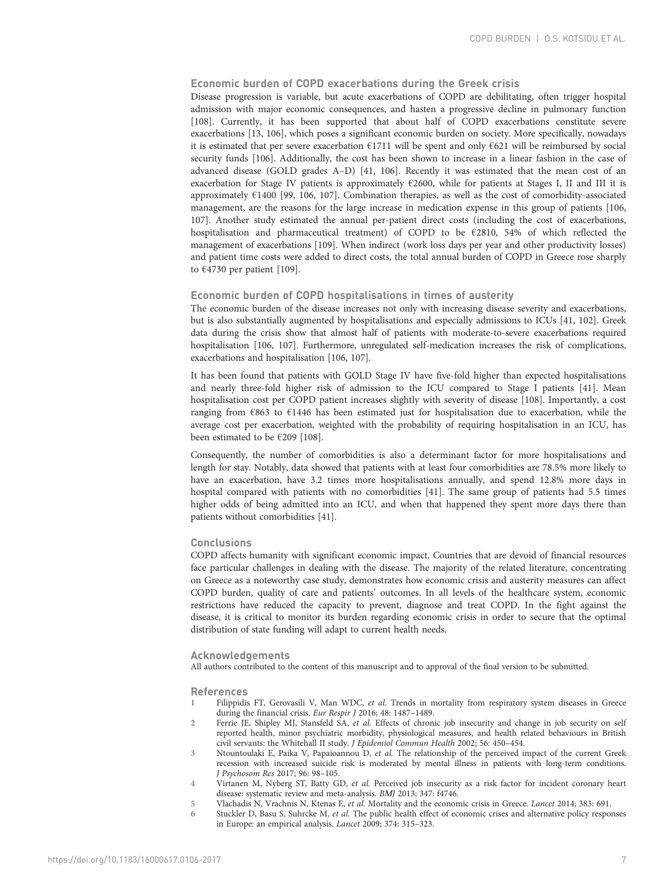# <span id="page-6-0"></span>Economic burden of COPD exacerbations during the Greek crisis

Disease progression is variable, but acute exacerbations of COPD are debilitating, often trigger hospital admission with major economic consequences, and hasten a progressive decline in pulmonary function [\[108](#page-9-0)]. Currently, it has been supported that about half of COPD exacerbations constitute severe exacerbations [\[13,](#page-7-0) [106](#page-9-0)], which poses a significant economic burden on society. More specifically, nowadays it is estimated that per severe exacerbation €1711 will be spent and only €621 will be reimbursed by social security funds [[106\]](#page-9-0). Additionally, the cost has been shown to increase in a linear fashion in the case of advanced disease (GOLD grades A–D) [\[41,](#page-7-0) [106](#page-9-0)]. Recently it was estimated that the mean cost of an exacerbation for Stage IV patients is approximately €2600, while for patients at Stages I, II and III it is approximately €1400 [[99](#page-9-0), [106, 107\]](#page-9-0). Combination therapies, as well as the cost of comorbidity-associated management, are the reasons for the large increase in medication expense in this group of patients [[106](#page-9-0), [107](#page-9-0)]. Another study estimated the annual per-patient direct costs (including the cost of exacerbations, hospitalisation and pharmaceutical treatment) of COPD to be €2810, 54% of which reflected the management of exacerbations [\[109](#page-9-0)]. When indirect (work loss days per year and other productivity losses) and patient time costs were added to direct costs, the total annual burden of COPD in Greece rose sharply to  $€4730$  per patient [[109\]](#page-9-0).

# Economic burden of COPD hospitalisations in times of austerity

The economic burden of the disease increases not only with increasing disease severity and exacerbations, but is also substantially augmented by hospitalisations and especially admissions to ICUs [\[41](#page-7-0), [102\]](#page-9-0). Greek data during the crisis show that almost half of patients with moderate-to-severe exacerbations required hospitalisation [\[106](#page-9-0), [107](#page-9-0)]. Furthermore, unregulated self-medication increases the risk of complications, exacerbations and hospitalisation [\[106](#page-9-0), [107\]](#page-9-0).

It has been found that patients with GOLD Stage IV have five-fold higher than expected hospitalisations and nearly three-fold higher risk of admission to the ICU compared to Stage I patients [[41](#page-7-0)]. Mean hospitalisation cost per COPD patient increases slightly with severity of disease [[108\]](#page-9-0). Importantly, a cost ranging from  $\epsilon$ 863 to  $\epsilon$ 1446 has been estimated just for hospitalisation due to exacerbation, while the average cost per exacerbation, weighted with the probability of requiring hospitalisation in an ICU, has been estimated to be €209 [\[108](#page-9-0)].

Consequently, the number of comorbidities is also a determinant factor for more hospitalisations and length for stay. Notably, data showed that patients with at least four comorbidities are 78.5% more likely to have an exacerbation, have 3.2 times more hospitalisations annually, and spend 12.8% more days in hospital compared with patients with no comorbidities [\[41](#page-7-0)]. The same group of patients had 5.5 times higher odds of being admitted into an ICU, and when that happened they spent more days there than patients without comorbidities [\[41](#page-7-0)].

# **Conclusions**

COPD affects humanity with significant economic impact. Countries that are devoid of financial resources face particular challenges in dealing with the disease. The majority of the related literature, concentrating on Greece as a noteworthy case study, demonstrates how economic crisis and austerity measures can affect COPD burden, quality of care and patients' outcomes. In all levels of the healthcare system, economic restrictions have reduced the capacity to prevent, diagnose and treat COPD. In the fight against the disease, it is critical to monitor its burden regarding economic crisis in order to secure that the optimal distribution of state funding will adapt to current health needs.

# Acknowledgements

All authors contributed to the content of this manuscript and to approval of the final version to be submitted.

### References

- 1 Filippidis FT, Gerovasili V, Man WDC, et al. Trends in mortality from respiratory system diseases in Greece during the financial crisis. Eur Respir J 2016; 48: 1487–1489.
- 2 Ferrie JE, Shipley MJ, Stansfeld SA, et al. Effects of chronic job insecurity and change in job security on self reported health, minor psychiatric morbidity, physiological measures, and health related behaviours in British civil servants: the Whitehall II study. J Epidemiol Commun Health 2002; 56: 450–454.
- 3 Ntountoulaki E, Paika V, Papaioannou D, et al. The relationship of the perceived impact of the current Greek recession with increased suicide risk is moderated by mental illness in patients with long-term conditions. J Psychosom Res 2017; 96: 98–105.
- 4 Virtanen M, Nyberg ST, Batty GD, et al. Perceived job insecurity as a risk factor for incident coronary heart disease: systematic review and meta-analysis. BΜJ 2013; 347: f4746.
- 5 Vlachadis N, Vrachnis N, Ktenas E, et al. Mortality and the economic crisis in Greece. Lancet 2014; 383: 691.
- 6 Stuckler D, Basu S, Suhrcke M, et al. The public health effect of economic crises and alternative policy responses in Europe: an empirical analysis. Lancet 2009; 374: 315–323.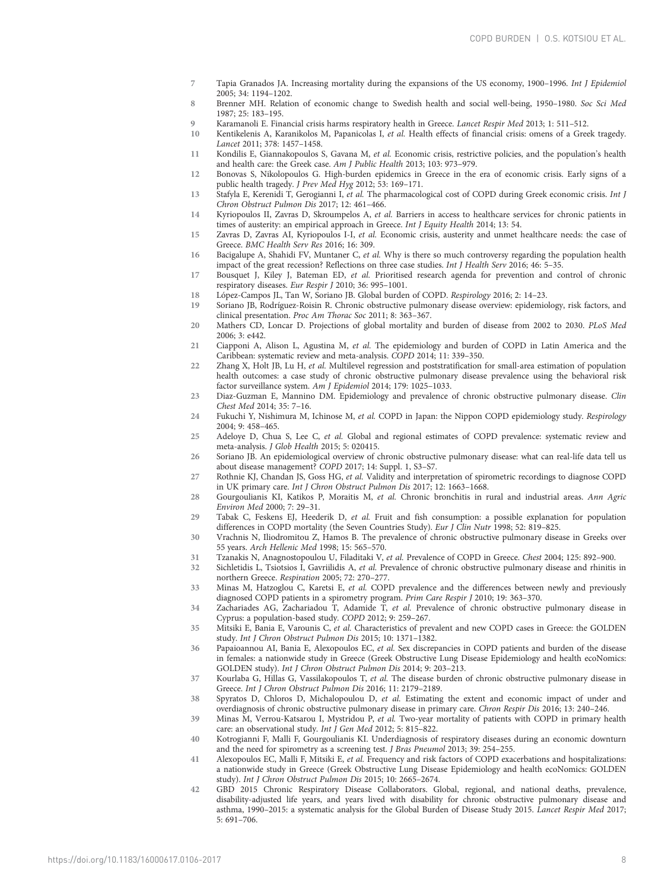- <span id="page-7-0"></span>7 Tapia Granados JA. Increasing mortality during the expansions of the US economy, 1900–1996. Int J Epidemiol 2005; 34: 1194–1202.
- 8 Brenner MH. Relation of economic change to Swedish health and social well-being, 1950–1980. Soc Sci Med 1987; 25: 183–195.
- 9 Karamanoli E. Financial crisis harms respiratory health in Greece. *Lancet Respir Med* 2013; 1: 511–512.<br>10 Kentikelenis A. Karanikolos M. Papanicolas I. *et al.* Health effects of financial crisis: omens of a Gree
- Kentikelenis A, Karanikolos M, Papanicolas I, et al. Health effects of financial crisis: omens of a Greek tragedy. Lancet 2011; 378: 1457–1458.
- 11 Kondilis E, Giannakopoulos S, Gavana M, et al. Economic crisis, restrictive policies, and the population's health and health care: the Greek case. Am J Public Health 2013; 103: 973–979.
- 12 Bonovas S, Nikolopoulos G. High-burden epidemics in Greece in the era of economic crisis. Early signs of a public health tragedy. J Prev Med Hyg 2012; 53: 169–171.
- 13 Stafyla E, Kerenidi T, Gerogianni I, et al. The pharmacological cost of COPD during Greek economic crisis. Int J Chron Obstruct Pulmon Dis 2017; 12: 461–466.
- 14 Kyriopoulos II, Zavras D, Skroumpelos A, et al. Barriers in access to healthcare services for chronic patients in times of austerity: an empirical approach in Greece. Int J Equity Health 2014; 13: 54.
- 15 Zavras D, Zavras AI, Kyriopoulos I-I, et al. Economic crisis, austerity and unmet healthcare needs: the case of Greece. BMC Health Serv Res 2016; 16: 309.
- 16 Bacigalupe A, Shahidi FV, Muntaner C, et al. Why is there so much controversy regarding the population health impact of the great recession? Reflections on three case studies. Int J Health Serv 2016; 46: 5–35.
- 17 Bousquet J, Kiley J, Bateman ED, et al. Prioritised research agenda for prevention and control of chronic respiratory diseases. Eur Respir J 2010; 36: 995–1001.
- 18 López-Campos JL, Tan W, Soriano JB. Global burden of COPD. Respirology 2016; 2: 14–23.
- 19 Soriano JB, Rodríguez-Roisin R. Chronic obstructive pulmonary disease overview: epidemiology, risk factors, and clinical presentation. Proc Am Thorac Soc 2011; 8: 363–367.
- 20 Mathers CD, Loncar D. Projections of global mortality and burden of disease from 2002 to 2030. PLoS Med 2006; 3: e442.
- 21 Ciapponi A, Alison L, Agustina M, et al. The epidemiology and burden of COPD in Latin America and the Caribbean: systematic review and meta-analysis. COPD 2014; 11: 339–350.
- 22 Zhang X, Holt JB, Lu H, et al. Multilevel regression and poststratification for small-area estimation of population health outcomes: a case study of chronic obstructive pulmonary disease prevalence using the behavioral risk factor surveillance system. Am J Epidemiol 2014; 179: 1025–1033.
- 23 Diaz-Guzman E, Mannino DM. Epidemiology and prevalence of chronic obstructive pulmonary disease. Clin Chest Med 2014; 35: 7–16.
- 24 Fukuchi Y, Nishimura M, Ichinose M, et al. COPD in Japan: the Nippon COPD epidemiology study. Respirology 2004; 9: 458–465.
- 25 Adeloye D, Chua S, Lee C, et al. Global and regional estimates of COPD prevalence: systematic review and meta-analysis. J Glob Health 2015; 5: 020415.
- 26 Soriano JB. An epidemiological overview of chronic obstructive pulmonary disease: what can real-life data tell us about disease management? COPD 2017; 14: Suppl. 1, S3–S7.
- 27 Rothnie KJ, Chandan JS, Goss HG, et al. Validity and interpretation of spirometric recordings to diagnose COPD in UK primary care. Int J Chron Obstruct Pulmon Dis 2017; 12: 1663–1668.
- 28 Gourgoulianis KI, Katikos P, Moraitis M, et al. Chronic bronchitis in rural and industrial areas. Ann Agric Environ Med 2000; 7: 29–31.
- 29 Tabak C, Feskens EJ, Heederik D, et al. Fruit and fish consumption: a possible explanation for population differences in COPD mortality (the Seven Countries Study). Eur J Clin Nutr 1998; 52: 819–825.
- 30 Vrachnis N, Iliodromitou Z, Hamos B. The prevalence of chronic obstructive pulmonary disease in Greeks over 55 years. Arch Hellenic Med 1998; 15: 565–570.
- 31 Tzanakis N, Anagnostopoulou U, Filaditaki V, et al. Prevalence of COPD in Greece. Chest 2004; 125: 892–900.
- 32 Sichletidis L, Tsiotsios I, Gavriilidis A, et al. Prevalence of chronic obstructive pulmonary disease and rhinitis in northern Greece. Respiration 2005; 72: 270–277.
- 33 Minas M, Hatzoglou C, Karetsi E, et al. COPD prevalence and the differences between newly and previously diagnosed COPD patients in a spirometry program. Prim Care Respir J 2010; 19: 363–370.
- 34 Zachariades AG, Zachariadou T, Adamide T, et al. Prevalence of chronic obstructive pulmonary disease in Cyprus: a population-based study. COPD 2012; 9: 259–267.
- 35 Mitsiki E, Bania E, Varounis C, et al. Characteristics of prevalent and new COPD cases in Greece: the GOLDEN study. Int J Chron Obstruct Pulmon Dis 2015; 10: 1371–1382.
- 36 Papaioannou AI, Bania E, Alexopoulos EC, et al. Sex discrepancies in COPD patients and burden of the disease in females: a nationwide study in Greece (Greek Obstructive Lung Disease Epidemiology and health ecoNomics: GOLDEN study). Int J Chron Obstruct Pulmon Dis 2014; 9: 203–213.
- 37 Kourlaba G, Hillas G, Vassilakopoulos T, et al. The disease burden of chronic obstructive pulmonary disease in Greece. Int J Chron Obstruct Pulmon Dis 2016; 11: 2179–2189.
- 38 Spyratos D, Chloros D, Michalopoulou D, et al. Estimating the extent and economic impact of under and overdiagnosis of chronic obstructive pulmonary disease in primary care. Chron Respir Dis 2016; 13: 240–246.
- 39 Minas M, Verrou-Katsarou I, Mystridou P, et al. Two-year mortality of patients with COPD in primary health care: an observational study. Int J Gen Med 2012; 5: 815–822.
- 40 Kotrogianni F, Malli F, Gourgoulianis KI. Underdiagnosis of respiratory diseases during an economic downturn and the need for spirometry as a screening test. J Bras Pneumol 2013; 39: 254–255.
- 41 Alexopoulos EC, Malli F, Mitsiki E, et al. Frequency and risk factors of COPD exacerbations and hospitalizations: a nationwide study in Greece (Greek Obstructive Lung Disease Epidemiology and health ecoNomics: GOLDEN study). Int J Chron Obstruct Pulmon Dis 2015; 10: 2665–2674.
- 42 GBD 2015 Chronic Respiratory Disease Collaborators. Global, regional, and national deaths, prevalence, disability-adjusted life years, and years lived with disability for chronic obstructive pulmonary disease and asthma, 1990–2015: a systematic analysis for the Global Burden of Disease Study 2015. Lancet Respir Med 2017; 5: 691–706.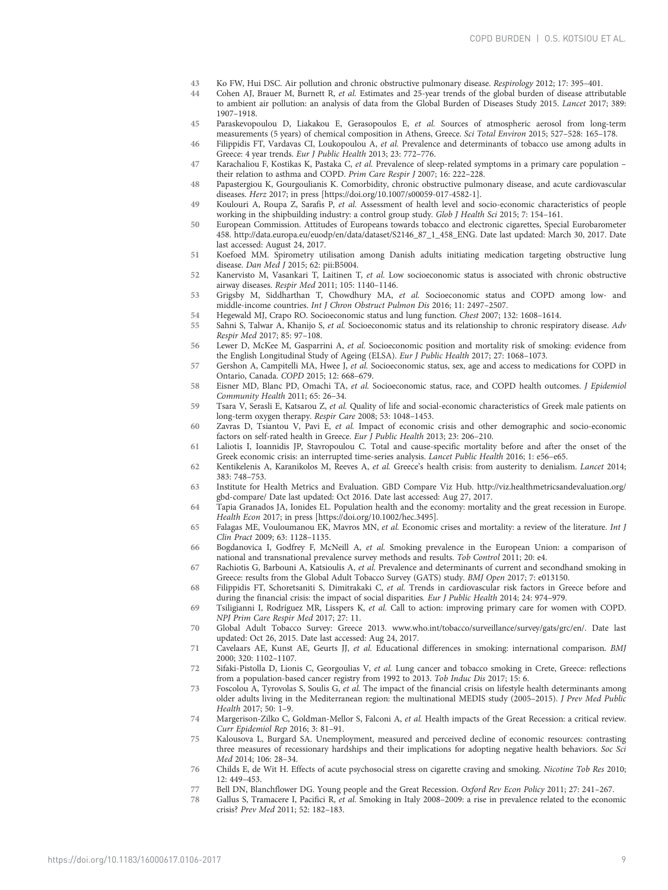- <span id="page-8-0"></span>43 Ko FW, Hui DSC. Air pollution and chronic obstructive pulmonary disease. Respirology 2012; 17: 395–401.<br>44 Cohen AJ Brauer M. Burnett R. et al. Estimates and 25-year trends of the global burden of disease attrib
- Cohen AJ, Brauer M, Burnett R, et al. Estimates and 25-year trends of the global burden of disease attributable to ambient air pollution: an analysis of data from the Global Burden of Diseases Study 2015. Lancet 2017; 389: 1907–1918.
- 45 Paraskevopoulou D, Liakakou E, Gerasopoulos E, et al. Sources of atmospheric aerosol from long-term measurements (5 years) of chemical composition in Athens, Greece. Sci Total Environ 2015; 527–528: 165–178.
- 46 Filippidis FT, Vardavas CI, Loukopoulou A, et al. Prevalence and determinants of tobacco use among adults in Greece: 4 year trends. Eur J Public Health 2013; 23: 772–776.
- 47 Karachaliou F, Kostikas K, Pastaka C, et al. Prevalence of sleep-related symptoms in a primary care population their relation to asthma and COPD. Prim Care Respir J 2007; 16: 222–228.
- 48 Papastergiou K, Gourgoulianis K. Comorbidity, chronic obstructive pulmonary disease, and acute cardiovascular diseases. Herz 2017; in press [\[https://doi.org/10.1007/s00059-017-4582-1\].](https://doi.org/10.1007/s00059-017-4582-1)
- 49 Koulouri A, Roupa Z, Sarafis P, et al. Assessment of health level and socio-economic characteristics of people working in the shipbuilding industry: a control group study. Glob J Health Sci 2015; 7: 154–161.
- 50 European Commission. Attitudes of Europeans towards tobacco and electronic cigarettes, Special Eurobarometer 458. [http://data.europa.eu/euodp/en/data/dataset/S2146\\_87\\_1\\_458\\_ENG. Date last updated: March 30, 2017. Date](http://data.europa.eu/euodp/en/data/dataset/S2146_87_1_458_ENG) [last accessed: August 24, 2017.](http://data.europa.eu/euodp/en/data/dataset/S2146_87_1_458_ENG)
- 51 Koefoed MM. Spirometry utilisation among Danish adults initiating medication targeting obstructive lung disease. Dan Med J 2015; 62: pii:B5004.
- 52 Kanervisto M, Vasankari T, Laitinen T, et al. Low socioeconomic status is associated with chronic obstructive airway diseases. Respir Med 2011; 105: 1140–1146.
- 53 Grigsby M, Siddharthan T, Chowdhury MA, et al. Socioeconomic status and COPD among low- and middle-income countries. Int J Chron Obstruct Pulmon Dis 2016; 11: 2497–2507.
- 54 Hegewald MJ, Crapo RO. Socioeconomic status and lung function. Chest 2007; 132: 1608–1614.
- 55 Sahni S, Talwar A, Khanijo S, et al. Socioeconomic status and its relationship to chronic respiratory disease. Adv Respir Med 2017; 85: 97–108.
- 56 Lewer D, McKee M, Gasparrini A, et al. Socioeconomic position and mortality risk of smoking: evidence from the English Longitudinal Study of Ageing (ELSA). Eur J Public Health 2017; 27: 1068–1073.
- 57 Gershon A, Campitelli MA, Hwee J, et al. Socioeconomic status, sex, age and access to medications for COPD in Ontario, Canada. COPD 2015; 12: 668–679.
- 58 Eisner MD, Blanc PD, Omachi TA, et al. Socioeconomic status, race, and COPD health outcomes. J Epidemiol Community Health 2011; 65: 26–34.
- 59 Tsara V, Serasli E, Katsarou Z, et al. Quality of life and social-economic characteristics of Greek male patients on long-term oxygen therapy. Respir Care 2008; 53: 1048–1453.
- 60 Zavras D, Tsiantou V, Pavi E, et al. Impact of economic crisis and other demographic and socio-economic factors on self-rated health in Greece. Eur J Public Health 2013; 23: 206–210.
- 61 Laliotis I, Ioannidis JP, Stavropoulou C. Total and cause-specific mortality before and after the onset of the Greek economic crisis: an interrupted time-series analysis. Lancet Public Health 2016; 1: e56–e65.
- 62 Kentikelenis A, Karanikolos M, Reeves A, et al. Greece's health crisis: from austerity to denialism. Lancet 2014; 383: 748–753.
- 63 Institute for Health Metrics and Evaluation. GBD Compare Viz Hub. [http://viz.healthmetricsandevaluation.org/](http://viz.healthmetricsandevaluation.org/gbd-compare/) [gbd-compare/ Date last updated: Oct 2016. Date last accessed: Aug 27, 2017.](http://viz.healthmetricsandevaluation.org/gbd-compare/)
- 64 Tapia Granados JA, Ionides EL. Population health and the economy: mortality and the great recession in Europe. Health Econ 2017; in press [[https://doi.org/10.1002/hec.3495\].](https://doi.org/10.1002/hec.3495)
- 65 Falagas ME, Vouloumanou EK, Mavros MN, et al. Economic crises and mortality: a review of the literature. Int J Clin Pract 2009; 63: 1128–1135.
- 66 Bogdanovica I, Godfrey F, McNeill A, et al. Smoking prevalence in the European Union: a comparison of national and transnational prevalence survey methods and results. Tob Control 2011; 20: e4.
- 67 Rachiotis G, Barbouni A, Katsioulis A, et al. Prevalence and determinants of current and secondhand smoking in Greece: results from the Global Adult Tobacco Survey (GATS) study. BMJ Open 2017; 7: e013150.
- 68 Filippidis FT, Schoretsaniti S, Dimitrakaki C, et al. Trends in cardiovascular risk factors in Greece before and during the financial crisis: the impact of social disparities. Eur J Public Health 2014; 24: 974–979.
- 69 Tsiligianni I, Rodríguez MR, Lisspers K, et al. Call to action: improving primary care for women with COPD. NPJ Prim Care Respir Med 2017; 27: 11.
- 70 Global Adult Tobacco Survey: Greece 2013. [www.who.int/tobacco/surveillance/survey/gats/grc/en/. Date last](http://www.who.int/tobacco/surveillance/survey/gats/grc/en/) [updated: Oct 26, 2015. Date last accessed: Aug 24, 2017.](http://www.who.int/tobacco/surveillance/survey/gats/grc/en/)
- 71 Cavelaars AE, Kunst AE, Geurts JJ, et al. Educational differences in smoking: international comparison. BMJ 2000; 320: 1102–1107.
- 72 Sifaki-Pistolla D, Lionis C, Georgoulias V, et al. Lung cancer and tobacco smoking in Crete, Greece: reflections from a population-based cancer registry from 1992 to 2013. Tob Induc Dis 2017; 15: 6.
- 73 Foscolou A, Tyrovolas S, Soulis G, et al. The impact of the financial crisis on lifestyle health determinants among older adults living in the Mediterranean region: the multinational MEDIS study (2005–2015). J Prev Med Public Health 2017; 50: 1–9.
- 74 Margerison-Zilko C, Goldman-Mellor S, Falconi A, et al. Health impacts of the Great Recession: a critical review. Curr Epidemiol Rep 2016; 3: 81–91.
- 75 Kalousova L, Burgard SA. Unemployment, measured and perceived decline of economic resources: contrasting three measures of recessionary hardships and their implications for adopting negative health behaviors. Soc Sci Med 2014; 106: 28–34.
- 76 Childs E, de Wit H. Effects of acute psychosocial stress on cigarette craving and smoking. Nicotine Tob Res 2010; 12: 449–453.
- 77 Bell DN, Blanchflower DG. Young people and the Great Recession. Oxford Rev Econ Policy 2011; 27: 241–267.
- 78 Gallus S, Tramacere I, Pacifici R, et al. Smoking in Italy 2008–2009: a rise in prevalence related to the economic crisis? Prev Med 2011; 52: 182–183.